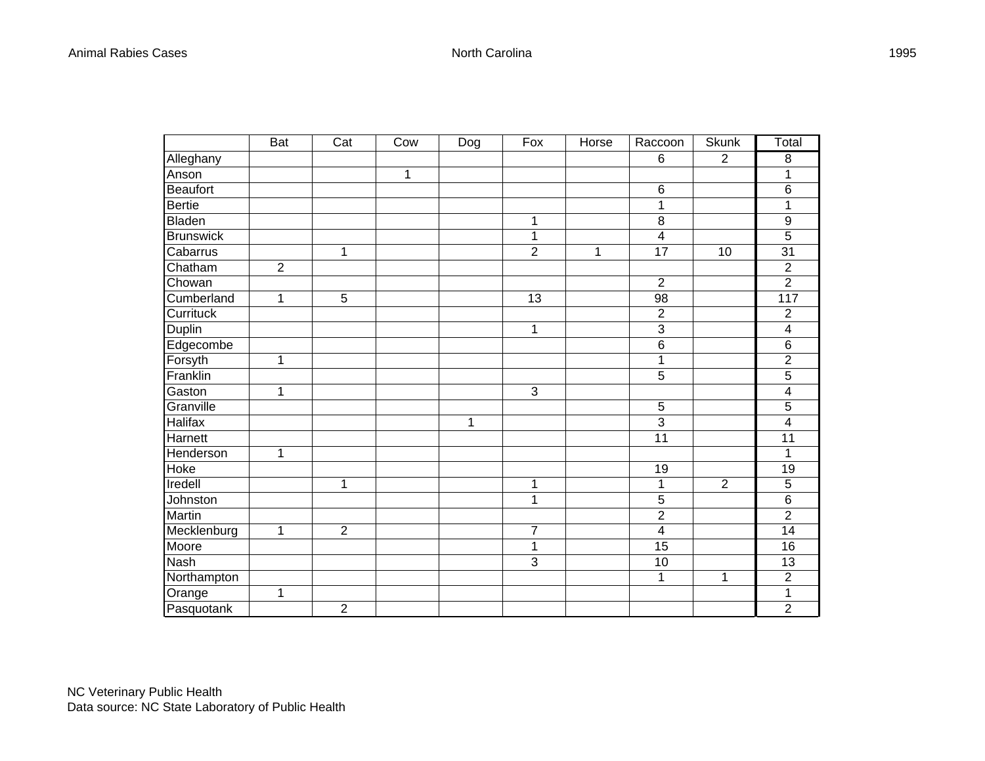|                  | $\overline{B}$ at | $\overline{\text{Cat}}$ | Cow | Dog | Fox            | Horse | Raccoon                 | <b>Skunk</b>   | Total          |
|------------------|-------------------|-------------------------|-----|-----|----------------|-------|-------------------------|----------------|----------------|
| Alleghany        |                   |                         |     |     |                |       | $6\phantom{1}6$         | $\overline{2}$ | 8              |
| Anson            |                   |                         | 1   |     |                |       |                         |                | 1              |
| Beaufort         |                   |                         |     |     |                |       | 6                       |                | $\,6$          |
| <b>Bertie</b>    |                   |                         |     |     |                |       | 1                       |                | 1              |
| Bladen           |                   |                         |     |     | 1              |       | 8                       |                | 9              |
| <b>Brunswick</b> |                   |                         |     |     | 1              |       | 4                       |                | 5              |
| Cabarrus         |                   | 1                       |     |     | $\overline{2}$ | 1     | 17                      | 10             | 31             |
| Chatham          | $\overline{2}$    |                         |     |     |                |       |                         |                | $\overline{2}$ |
| Chowan           |                   |                         |     |     |                |       | $\overline{2}$          |                | $\overline{2}$ |
| Cumberland       | 1                 | 5                       |     |     | 13             |       | 98                      |                | 117            |
| Currituck        |                   |                         |     |     |                |       | $\overline{c}$          |                | $\overline{2}$ |
| <b>Duplin</b>    |                   |                         |     |     | 1              |       | $\overline{3}$          |                | 4              |
| Edgecombe        |                   |                         |     |     |                |       | $6\phantom{1}6$         |                | $\,6$          |
| Forsyth          | 1                 |                         |     |     |                |       | 1                       |                | $\overline{2}$ |
| Franklin         |                   |                         |     |     |                |       | 5                       |                | 5              |
| Gaston           | $\mathbf{1}$      |                         |     |     | 3              |       |                         |                | 4              |
| Granville        |                   |                         |     |     |                |       | 5                       |                | 5              |
| <b>Halifax</b>   |                   |                         |     | 1   |                |       | 3                       |                | 4              |
| Harnett          |                   |                         |     |     |                |       | 11                      |                | 11             |
| Henderson        | 1                 |                         |     |     |                |       |                         |                | 1              |
| Hoke             |                   |                         |     |     |                |       | 19                      |                | 19             |
| Iredell          |                   | 1                       |     |     | 1              |       | 1                       | $\overline{2}$ | 5              |
| Johnston         |                   |                         |     |     | $\mathbf 1$    |       | 5                       |                | $\overline{6}$ |
| Martin           |                   |                         |     |     |                |       | $\overline{c}$          |                | $\overline{2}$ |
| Mecklenburg      | $\mathbf 1$       | $\overline{2}$          |     |     | 7              |       | $\overline{\mathbf{4}}$ |                | 14             |
| Moore            |                   |                         |     |     | 1              |       | 15                      |                | 16             |
| Nash             |                   |                         |     |     | 3              |       | 10                      |                | 13             |
| Northampton      |                   |                         |     |     |                |       | 1                       | 1              | $\overline{2}$ |
| Orange           | 1                 |                         |     |     |                |       |                         |                | 1              |
| Pasquotank       |                   | $\overline{2}$          |     |     |                |       |                         |                | $\overline{2}$ |